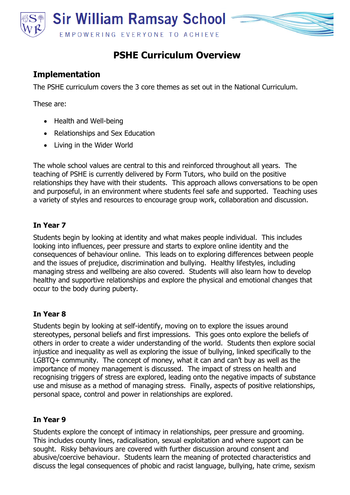

# **PSHE Curriculum Overview**

## **Implementation**

The PSHE curriculum covers the 3 core themes as set out in the National Curriculum.

These are:

- Health and Well-being
- Relationships and Sex Education
- Living in the Wider World

The whole school values are central to this and reinforced throughout all years. The teaching of PSHE is currently delivered by Form Tutors, who build on the positive relationships they have with their students. This approach allows conversations to be open and purposeful, in an environment where students feel safe and supported. Teaching uses a variety of styles and resources to encourage group work, collaboration and discussion.

### **In Year 7**

Students begin by looking at identity and what makes people individual. This includes looking into influences, peer pressure and starts to explore online identity and the consequences of behaviour online. This leads on to exploring differences between people and the issues of prejudice, discrimination and bullying. Healthy lifestyles, including managing stress and wellbeing are also covered. Students will also learn how to develop healthy and supportive relationships and explore the physical and emotional changes that occur to the body during puberty.

#### **In Year 8**

Students begin by looking at self-identify, moving on to explore the issues around stereotypes, personal beliefs and first impressions. This goes onto explore the beliefs of others in order to create a wider understanding of the world. Students then explore social injustice and inequality as well as exploring the issue of bullying, linked specifically to the LGBTQ+ community. The concept of money, what it can and can't buy as well as the importance of money management is discussed. The impact of stress on health and recognising triggers of stress are explored, leading onto the negative impacts of substance use and misuse as a method of managing stress. Finally, aspects of positive relationships, personal space, control and power in relationships are explored.

#### **In Year 9**

Students explore the concept of intimacy in relationships, peer pressure and grooming. This includes county lines, radicalisation, sexual exploitation and where support can be sought. Risky behaviours are covered with further discussion around consent and abusive/coercive behaviour. Students learn the meaning of protected characteristics and discuss the legal consequences of phobic and racist language, bullying, hate crime, sexism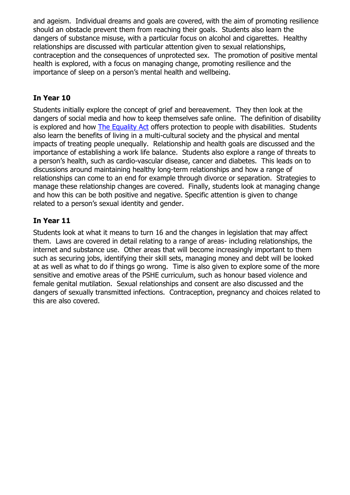and ageism. Individual dreams and goals are covered, with the aim of promoting resilience should an obstacle prevent them from reaching their goals. Students also learn the dangers of substance misuse, with a particular focus on alcohol and cigarettes. Healthy relationships are discussed with particular attention given to sexual relationships, contraception and the consequences of unprotected sex. The promotion of positive mental health is explored, with a focus on managing change, promoting resilience and the importance of sleep on a person's mental health and wellbeing.

### **In Year 10**

Students initially explore the concept of grief and bereavement. They then look at the dangers of social media and how to keep themselves safe online. The definition of disability is explored and how [The Equality Act](https://www.gov.uk/guidance/equality-act-2010-guidance) offers protection to people with disabilities. Students also learn the benefits of living in a multi-cultural society and the physical and mental impacts of treating people unequally. Relationship and health goals are discussed and the importance of establishing a work life balance. Students also explore a range of threats to a person's health, such as cardio-vascular disease, cancer and diabetes. This leads on to discussions around maintaining healthy long-term relationships and how a range of relationships can come to an end for example through divorce or separation. Strategies to manage these relationship changes are covered. Finally, students look at managing change and how this can be both positive and negative. Specific attention is given to change related to a person's sexual identity and gender.

## **In Year 11**

Students look at what it means to turn 16 and the changes in legislation that may affect them. Laws are covered in detail relating to a range of areas- including relationships, the internet and substance use. Other areas that will become increasingly important to them such as securing jobs, identifying their skill sets, managing money and debt will be looked at as well as what to do if things go wrong. Time is also given to explore some of the more sensitive and emotive areas of the PSHE curriculum, such as honour based violence and female genital mutilation. Sexual relationships and consent are also discussed and the dangers of sexually transmitted infections. Contraception, pregnancy and choices related to this are also covered.